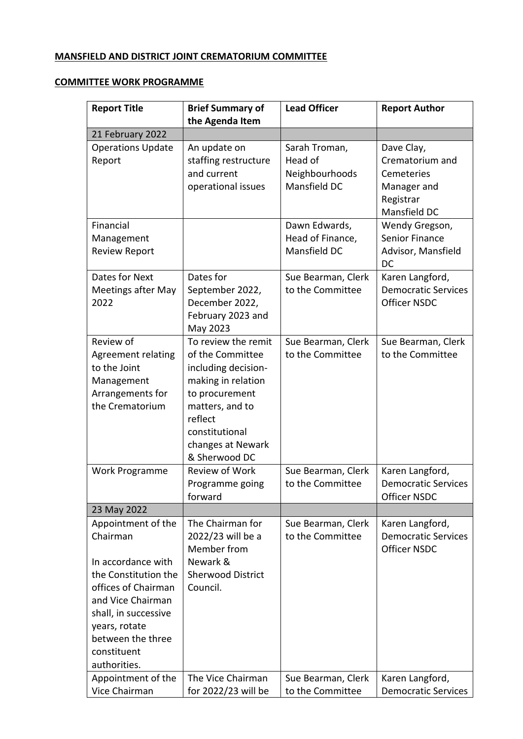## **MANSFIELD AND DISTRICT JOINT CREMATORIUM COMMITTEE**

## **COMMITTEE WORK PROGRAMME**

| <b>Report Title</b>               | <b>Brief Summary of</b><br>the Agenda Item | <b>Lead Officer</b>                    | <b>Report Author</b>       |
|-----------------------------------|--------------------------------------------|----------------------------------------|----------------------------|
| 21 February 2022                  |                                            |                                        |                            |
| <b>Operations Update</b>          | An update on                               | Sarah Troman,                          | Dave Clay,                 |
| Report                            | staffing restructure                       | Head of                                | Crematorium and            |
|                                   | and current                                | Neighbourhoods                         | Cemeteries                 |
|                                   | operational issues                         | Mansfield DC                           | Manager and                |
|                                   |                                            |                                        | Registrar                  |
|                                   |                                            |                                        | Mansfield DC               |
| Financial                         |                                            | Dawn Edwards,                          | Wendy Gregson,             |
| Management                        |                                            | Head of Finance,                       | <b>Senior Finance</b>      |
| <b>Review Report</b>              |                                            | Mansfield DC                           | Advisor, Mansfield         |
|                                   |                                            |                                        | DC                         |
| Dates for Next                    | Dates for                                  | Sue Bearman, Clerk                     | Karen Langford,            |
| <b>Meetings after May</b>         | September 2022,                            | to the Committee                       | <b>Democratic Services</b> |
| 2022                              | December 2022,                             |                                        | <b>Officer NSDC</b>        |
|                                   | February 2023 and                          |                                        |                            |
| Review of                         | May 2023<br>To review the remit            | Sue Bearman, Clerk                     | Sue Bearman, Clerk         |
| <b>Agreement relating</b>         | of the Committee                           | to the Committee                       | to the Committee           |
| to the Joint                      | including decision-                        |                                        |                            |
| Management                        | making in relation                         |                                        |                            |
| Arrangements for                  | to procurement                             |                                        |                            |
| the Crematorium                   | matters, and to                            |                                        |                            |
|                                   | reflect                                    |                                        |                            |
|                                   | constitutional                             |                                        |                            |
|                                   | changes at Newark                          |                                        |                            |
|                                   | & Sherwood DC                              |                                        |                            |
| Work Programme                    | Review of Work                             | Sue Bearman, Clerk                     | Karen Langford,            |
|                                   | Programme going                            | to the Committee                       | <b>Democratic Services</b> |
|                                   | forward                                    |                                        | Officer NSDC               |
| 23 May 2022<br>Appointment of the | The Chairman for                           |                                        | Karen Langford,            |
| Chairman                          | 2022/23 will be a                          | Sue Bearman, Clerk<br>to the Committee | <b>Democratic Services</b> |
|                                   | Member from                                |                                        | <b>Officer NSDC</b>        |
| In accordance with                | Newark &                                   |                                        |                            |
| the Constitution the              | <b>Sherwood District</b>                   |                                        |                            |
| offices of Chairman               | Council.                                   |                                        |                            |
| and Vice Chairman                 |                                            |                                        |                            |
| shall, in successive              |                                            |                                        |                            |
| years, rotate                     |                                            |                                        |                            |
| between the three                 |                                            |                                        |                            |
| constituent                       |                                            |                                        |                            |
| authorities.                      |                                            |                                        |                            |
| Appointment of the                | The Vice Chairman                          | Sue Bearman, Clerk                     | Karen Langford,            |
| Vice Chairman                     | for 2022/23 will be                        | to the Committee                       | <b>Democratic Services</b> |